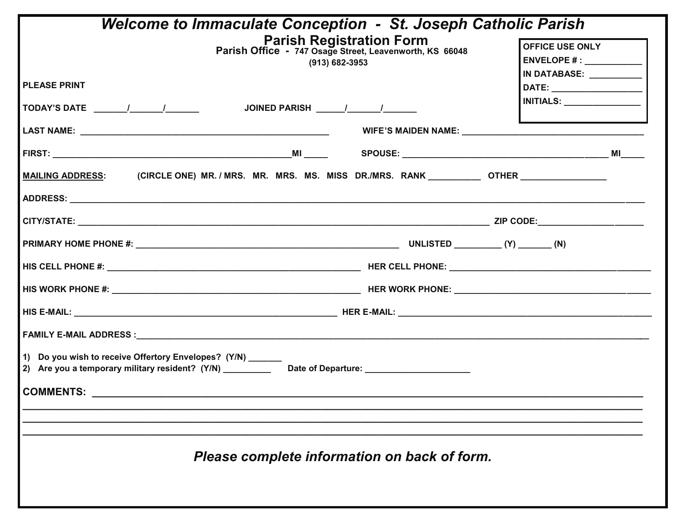| <b>Welcome to Immaculate Conception - St. Joseph Catholic Parish</b>                                                                                               |                                                         |  |  |  |  |  |
|--------------------------------------------------------------------------------------------------------------------------------------------------------------------|---------------------------------------------------------|--|--|--|--|--|
| Parish Registration Form<br>Parish Office - 747 Osage Street, Leavenworth, KS 66048                                                                                | <b>OFFICE USE ONLY</b>                                  |  |  |  |  |  |
|                                                                                                                                                                    | ENVELOPE # : ______________<br>IN DATABASE: ___________ |  |  |  |  |  |
| (913) 682-3953                                                                                                                                                     |                                                         |  |  |  |  |  |
| <b>PLEASE PRINT</b>                                                                                                                                                |                                                         |  |  |  |  |  |
|                                                                                                                                                                    | <b>INITIALS:</b>                                        |  |  |  |  |  |
|                                                                                                                                                                    |                                                         |  |  |  |  |  |
|                                                                                                                                                                    |                                                         |  |  |  |  |  |
|                                                                                                                                                                    |                                                         |  |  |  |  |  |
| (CIRCLE ONE) MR. / MRS.  MR.  MRS.  MS.  MISS   DR./MRS.   RANK _____________OTHER ________________<br><b>MAILING ADDRESS:</b>                                     |                                                         |  |  |  |  |  |
|                                                                                                                                                                    |                                                         |  |  |  |  |  |
|                                                                                                                                                                    |                                                         |  |  |  |  |  |
|                                                                                                                                                                    |                                                         |  |  |  |  |  |
|                                                                                                                                                                    |                                                         |  |  |  |  |  |
|                                                                                                                                                                    |                                                         |  |  |  |  |  |
|                                                                                                                                                                    |                                                         |  |  |  |  |  |
|                                                                                                                                                                    |                                                         |  |  |  |  |  |
| 1) Do you wish to receive Offertory Envelopes? (Y/N) ______<br>2) Are you a temporary military resident? (Y/N) __________ Date of Departure: _____________________ |                                                         |  |  |  |  |  |
| COMMENTS: _________________                                                                                                                                        |                                                         |  |  |  |  |  |
|                                                                                                                                                                    |                                                         |  |  |  |  |  |
|                                                                                                                                                                    |                                                         |  |  |  |  |  |
| Please complete information on back of form.                                                                                                                       |                                                         |  |  |  |  |  |
|                                                                                                                                                                    |                                                         |  |  |  |  |  |